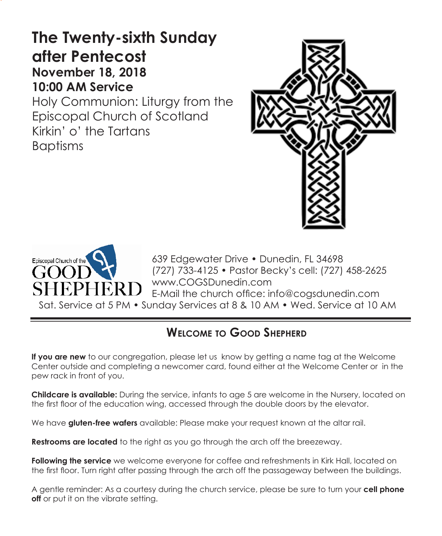# **The Twenty-sixth Sunday after Pentecost November 18, 2018 10:00 AM Service**

Holy Communion: Liturgy from the Episcopal Church of Scotland Kirkin' o' the Tartans Baptisms





639 Edgewater Drive • Dunedin, FL 34698 (727) 733-4125 • Pastor Becky's cell: (727) 458-2625 www.COGSDunedin.com E-Mail the church office: info@cogsdunedin.com Sat. Service at 5 PM • Sunday Services at 8 & 10 AM • Wed. Service at 10 AM

# **Welcome to Good Shepherd**

**If you are new** to our congregation, please let us know by getting a name tag at the Welcome Center outside and completing a newcomer card, found either at the Welcome Center or in the pew rack in front of you.

**Childcare is available:** During the service, infants to age 5 are welcome in the Nursery, located on the first floor of the education wing, accessed through the double doors by the elevator.

We have **gluten-free wafers** available: Please make your request known at the altar rail.

**Restrooms are located** to the right as you go through the arch off the breezeway.

**Following the service** we welcome everyone for coffee and refreshments in Kirk Hall, located on the first floor. Turn right after passing through the arch off the passageway between the buildings.

A gentle reminder: As a courtesy during the church service, please be sure to turn your **cell phone off** or put it on the vibrate setting.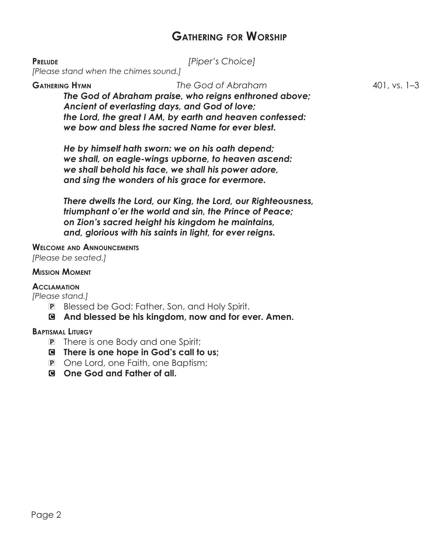# **Gathering for Worship**

**Prelude** *[Piper's Choice]*

*[Please stand when the chimes sound.]*

**Gathering Hymn** *The God of Abraham* 401, vs. 1–3 *The God of Abraham praise, who reigns enthroned above; Ancient of everlasting days, and God of love; the Lord, the great I AM, by earth and heaven confessed: we bow and bless the sacred Name for ever blest.*

*He by himself hath sworn: we on his oath depend; we shall, on eagle-wings upborne, to heaven ascend: we shall behold his face, we shall his power adore, and sing the wonders of his grace for evermore.*

*There dwells the Lord, our King, the Lord, our Righteousness, triumphant o'er the world and sin, the Prince of Peace; on Zion's sacred height his kingdom he maintains, and, glorious with his saints in light, for ever reigns.*

# **Welcome and Announcements**

*[Please be seated.]*

#### **Mission Moment**

#### **Acclamation**

*[Please stand.]*

- P Blessed be God: Father, Son, and Holy Spirit.
- C **And blessed be his kingdom, now and for ever. Amen.**

#### **Baptismal Liturgy**

- P There is one Body and one Spirit;
- C **There is one hope in God's call to us;**
- P One Lord, one Faith, one Baptism;
- C **One God and Father of all.**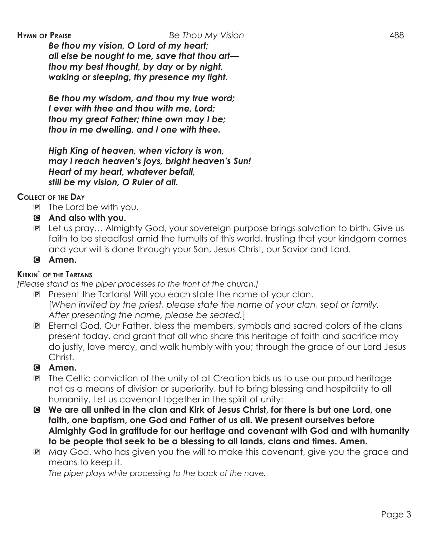*Be thou my vision, O Lord of my heart; all else be nought to me, save that thou art thou my best thought, by day or by night, waking or sleeping, thy presence my light.*

*Be thou my wisdom, and thou my true word; I ever with thee and thou with me, Lord; thou my great Father; thine own may I be; thou in me dwelling, and I one with thee.*

*High King of heaven, when victory is won, may I reach heaven's joys, bright heaven's Sun! Heart of my heart, whatever befall, still be my vision, O Ruler of all.*

# **Collect of the Day**

- P The Lord be with you.
- C **And also with you.**
- P Let us pray… Almighty God, your sovereign purpose brings salvation to birth. Give us faith to be steadfast amid the tumults of this world, trusting that your kindgom comes and your will is done through your Son, Jesus Christ, our Savior and Lord.
- C **Amen.**

# **Kirkin' of the Tartans**

*[Please stand as the piper processes to the front of the church.]*

- P Present the Tartans! Will you each state the name of your clan. [*When invited by the priest, please state the name of your clan, sept or family. After presenting the name, please be seated.*]
- P Eternal God, Our Father, bless the members, symbols and sacred colors of the clans present today, and grant that all who share this heritage of faith and sacrifice may do justly, love mercy, and walk humbly with you; through the grace of our Lord Jesus Christ.

# C **Amen.**

- P The Celtic conviction of the unity of all Creation bids us to use our proud heritage not as a means of division or superiority, but to bring blessing and hospitality to all humanity. Let us covenant together in the spirit of unity:
- C **We are all united in the clan and Kirk of Jesus Christ, for there is but one Lord, one faith, one baptism, one God and Father of us all. We present ourselves before Almighty God in gratitude for our heritage and covenant with God and with humanity to be people that seek to be a blessing to all lands, clans and times. Amen.**
- P May God, who has given you the will to make this covenant, give you the grace and means to keep it.

 *The piper plays while processing to the back of the nave.*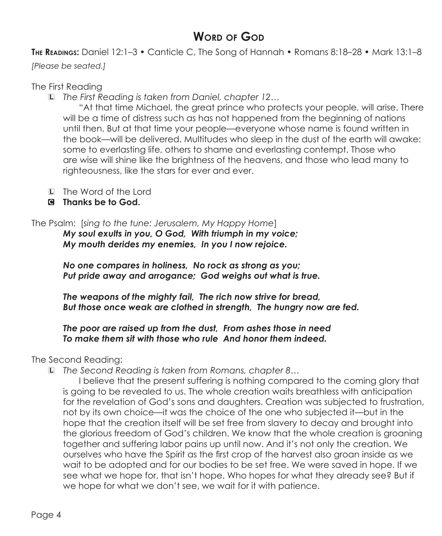# **WORD OF GOD**

**The Readings:** Daniel 12:1–3 • Canticle C, The Song of Hannah • Romans 8:18–28 • Mark 13:1–8

*[Please be seated.]*

# The First Reading

L *The First Reading is taken from Daniel, chapter 12…*

"At that time Michael, the great prince who protects your people, will arise. There will be a time of distress such as has not happened from the beginning of nations until then. But at that time your people—everyone whose name is found written in the book—will be delivered. Multitudes who sleep in the dust of the earth will awake: some to everlasting life, others to shame and everlasting contempt. Those who are wise will shine like the brightness of the heavens, and those who lead many to righteousness, like the stars for ever and ever.

- L The Word of the Lord
- C **Thanks be to God.**

# The Psalm: [*sing to the tune: Jerusalem, My Happy Home*]

*My soul exults in you, O God, With triumph in my voice; My mouth derides my enemies, In you I now rejoice.*

*No one compares in holiness, No rock as strong as you; Put pride away and arrogance; God weighs out what is true.*

*The weapons of the mighty fail, The rich now strive for bread, But those once weak are clothed in strength, The hungry now are fed.*

*The poor are raised up from the dust, From ashes those in need To make them sit with those who rule And honor them indeed.*

The Second Reading:

L *The Second Reading is taken from Romans, chapter 8…*

 I believe that the present suffering is nothing compared to the coming glory that is going to be revealed to us. The whole creation waits breathless with anticipation for the revelation of God's sons and daughters. Creation was subjected to frustration, not by its own choice—it was the choice of the one who subjected it—but in the hope that the creation itself will be set free from slavery to decay and brought into the glorious freedom of God's children. We know that the whole creation is groaning together and suffering labor pains up until now. And it's not only the creation. We ourselves who have the Spirit as the first crop of the harvest also groan inside as we wait to be adopted and for our bodies to be set free. We were saved in hope. If we see what we hope for, that isn't hope. Who hopes for what they already see? But if we hope for what we don't see, we wait for it with patience.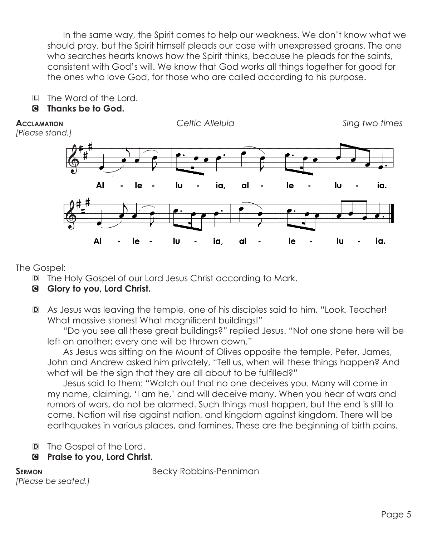In the same way, the Spirit comes to help our weakness. We don't know what we should pray, but the Spirit himself pleads our case with unexpressed groans. The one who searches hearts knows how the Spirit thinks, because he pleads for the saints, consistent with God's will. We know that God works all things together for good for the ones who love God, for those who are called according to his purpose.

L The Word of the Lord.

# C **Thanks be to God.**

**Acclamation** *Celtic Alleluia Sing two times [Please stand.]* AI le Ιu ia. al le lυ ia. Al le Ιu ia, al le Ιu ia.

The Gospel:

- D The Holy Gospel of our Lord Jesus Christ according to Mark.
- C **Glory to you, Lord Christ.**
- D As Jesus was leaving the temple, one of his disciples said to him, "Look, Teacher! What massive stones! What magnificent buildings!"

"Do you see all these great buildings?" replied Jesus. "Not one stone here will be left on another; every one will be thrown down."

 As Jesus was sitting on the Mount of Olives opposite the temple, Peter, James, John and Andrew asked him privately, "Tell us, when will these things happen? And what will be the sign that they are all about to be fulfilled?"

 Jesus said to them: "Watch out that no one deceives you. Many will come in my name, claiming, 'I am he,' and will deceive many. When you hear of wars and rumors of wars, do not be alarmed. Such things must happen, but the end is still to come. Nation will rise against nation, and kingdom against kingdom. There will be earthquakes in various places, and famines. These are the beginning of birth pains.

- D The Gospel of the Lord.
- C **Praise to you, Lord Christ.**

```
[Please be seated.]
```
**SERMON** Becky Robbins-Penniman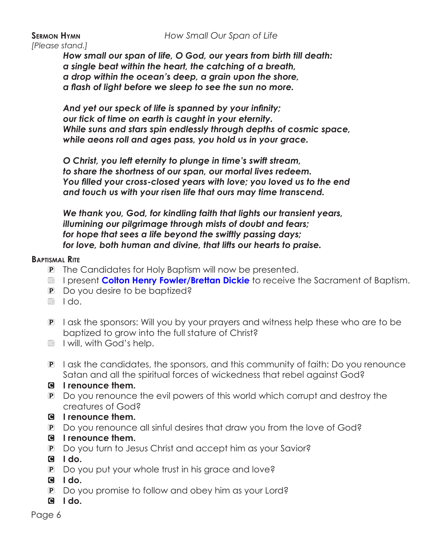### **Sermon Hymn** *How Small Our Span of Life*

*[Please stand.]*

*How small our span of life, O God, our years from birth till death: a single beat within the heart, the catching of a breath, a drop within the ocean's deep, a grain upon the shore, a flash of light before we sleep to see the sun no more.*

*And yet our speck of life is spanned by your infinity; our tick of time on earth is caught in your eternity. While suns and stars spin endlessly through depths of cosmic space, while aeons roll and ages pass, you hold us in your grace.*

*O Christ, you left eternity to plunge in time's swift stream, to share the shortness of our span, our mortal lives redeem. You filled your cross-closed years with love; you loved us to the end and touch us with your risen life that ours may time transcend.*

*We thank you, God, for kindling faith that lights our transient years, illumining our pilgrimage through mists of doubt and fears; for hope that sees a life beyond the swiftly passing days; for love, both human and divine, that lifts our hearts to praise.*

#### **Baptismal Rite**

- P The Candidates for Holy Baptism will now be presented.
- R I present **Colton Henry Fowler/Brettan Dickie** to receive the Sacrament of Baptism.
- P Do you desire to be baptized?
- R I do.
- P I ask the sponsors: Will you by your prayers and witness help these who are to be baptized to grow into the full stature of Christ?
- **R** I will, with God's help.
- P I ask the candidates, the sponsors, and this community of faith: Do you renounce Satan and all the spiritual forces of wickedness that rebel against God?
- C **I renounce them.**
- P Do you renounce the evil powers of this world which corrupt and destroy the creatures of God?
- C **I renounce them.**
- P Do you renounce all sinful desires that draw you from the love of God?
- C **I renounce them.**
- P Do you turn to Jesus Christ and accept him as your Savior?
- C **I do.**
- P Do you put your whole trust in his grace and love?
- C **I do.**
- P Do you promise to follow and obey him as your Lord?
- C **I do.**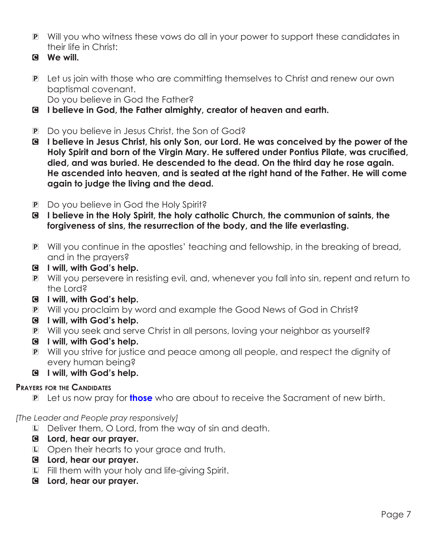- P Will you who witness these vows do all in your power to support these candidates in their life in Christ:
- C **We will.**
- P Let us join with those who are committing themselves to Christ and renew our own baptismal covenant. Do you believe in God the Father?
- C **I believe in God, the Father almighty, creator of heaven and earth.**
- P Do you believe in Jesus Christ, the Son of God?
- C **I believe in Jesus Christ, his only Son, our Lord. He was conceived by the power of the Holy Spirit and born of the Virgin Mary. He suffered under Pontius Pilate, was crucified, died, and was buried. He descended to the dead. On the third day he rose again. He ascended into heaven, and is seated at the right hand of the Father. He will come again to judge the living and the dead.**
- P Do you believe in God the Holy Spirit?
- C **I believe in the Holy Spirit, the holy catholic Church, the communion of saints, the forgiveness of sins, the resurrection of the body, and the life everlasting.**
- P Will you continue in the apostles' teaching and fellowship, in the breaking of bread, and in the prayers?
- C **I will, with God's help.**
- P Will you persevere in resisting evil, and, whenever you fall into sin, repent and return to the Lord?
- C **I will, with God's help.**
- P Will you proclaim by word and example the Good News of God in Christ?
- C **I will, with God's help.**
- P Will you seek and serve Christ in all persons, loving your neighbor as yourself?
- C **I will, with God's help.**
- P Will you strive for justice and peace among all people, and respect the dignity of every human being?
- C **I will, with God's help.**

# **Prayers for the Candidates**

P Let us now pray for **those** who are about to receive the Sacrament of new birth.

# *[The Leader and People pray responsively]*

- L Deliver them, O Lord, from the way of sin and death.
- C **Lord, hear our prayer.**
- L Open their hearts to your grace and truth.
- C **Lord, hear our prayer.**
- L Fill them with your holy and life-giving Spirit.
- C **Lord, hear our prayer.**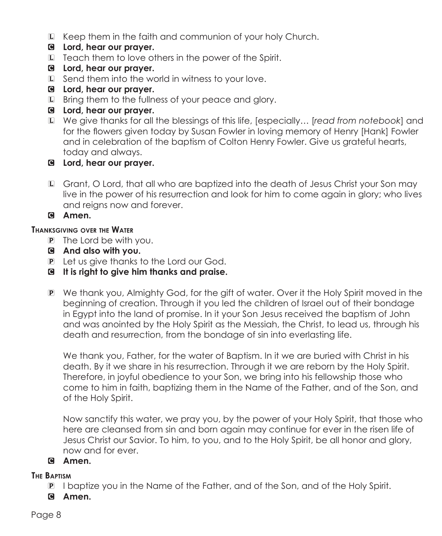- L Keep them in the faith and communion of your holy Church.
- C **Lord, hear our prayer.**
- L Teach them to love others in the power of the Spirit.
- C **Lord, hear our prayer.**
- L Send them into the world in witness to your love.
- C **Lord, hear our prayer.**
- L Bring them to the fullness of your peace and glory.
- C **Lord, hear our prayer.**
- L We give thanks for all the blessings of this life, [especially… [*read from notebook*] and for the flowers given today by Susan Fowler in loving memory of Henry [Hank] Fowler and in celebration of the baptism of Colton Henry Fowler. Give us grateful hearts, today and always.
- C **Lord, hear our prayer.**
- L Grant, O Lord, that all who are baptized into the death of Jesus Christ your Son may live in the power of his resurrection and look for him to come again in glory; who lives and reigns now and forever.

C **Amen.**

# **Thanksgiving over the Water**

- P The Lord be with you.
- C **And also with you.**
- P Let us give thanks to the Lord our God.
- C **It is right to give him thanks and praise.**
- P We thank you, Almighty God, for the gift of water. Over it the Holy Spirit moved in the beginning of creation. Through it you led the children of Israel out of their bondage in Egypt into the land of promise. In it your Son Jesus received the baptism of John and was anointed by the Holy Spirit as the Messiah, the Christ, to lead us, through his death and resurrection, from the bondage of sin into everlasting life.

 We thank you, Father, for the water of Baptism. In it we are buried with Christ in his death. By it we share in his resurrection. Through it we are reborn by the Holy Spirit. Therefore, in joyful obedience to your Son, we bring into his fellowship those who come to him in faith, baptizing them in the Name of the Father, and of the Son, and of the Holy Spirit.

 Now sanctify this water, we pray you, by the power of your Holy Spirit, that those who here are cleansed from sin and born again may continue for ever in the risen life of Jesus Christ our Savior. To him, to you, and to the Holy Spirit, be all honor and glory, now and for ever.

# C **Amen.**

# **The Baptism**

- P I baptize you in the Name of the Father, and of the Son, and of the Holy Spirit.
- C **Amen.**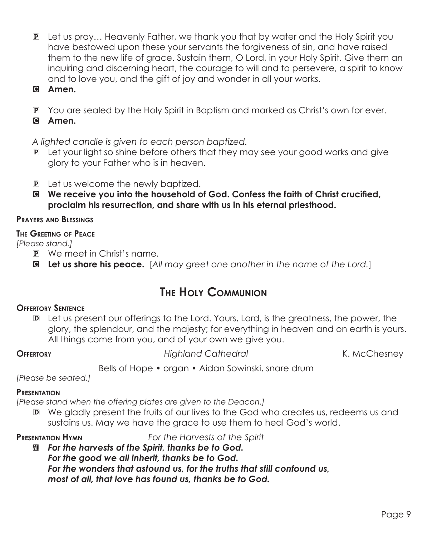- P Let us pray… Heavenly Father, we thank you that by water and the Holy Spirit you have bestowed upon these your servants the forgiveness of sin, and have raised them to the new life of grace. Sustain them, O Lord, in your Holy Spirit. Give them an inquiring and discerning heart, the courage to will and to persevere, a spirit to know and to love you, and the gift of joy and wonder in all your works.
- C **Amen.**
- P You are sealed by the Holy Spirit in Baptism and marked as Christ's own for ever.
- C **Amen.**

*A lighted candle is given to each person baptized.*

- P Let your light so shine before others that they may see your good works and give glory to your Father who is in heaven.
- **P** Let us welcome the newly baptized.
- C **We receive you into the household of God. Confess the faith of Christ crucified, proclaim his resurrection, and share with us in his eternal priesthood.**

# **Prayers and Blessings**

## **The Greeting of Peace**

*[Please stand.]*

- P We meet in Christ's name.
- C **Let us share his peace.** [*All may greet one another in the name of the Lord.*]

# **The Holy Communion**

# **Offertory Sentence**

D Let us present our offerings to the Lord. Yours, Lord, is the greatness, the power, the glory, the splendour, and the majesty; for everything in heaven and on earth is yours. All things come from you, and of your own we give you.

**Offertory** *Highland Cathedral* K. McChesney

Bells of Hope • organ • Aidan Sowinski, snare drum

*[Please be seated.]*

# **Presentation**

*[Please stand when the offering plates are given to the Deacon.]*

D We gladly present the fruits of our lives to the God who creates us, redeems us and sustains us. May we have the grace to use them to heal God's world.

**Presentation Hymn** *For the Harvests of the Spirit*

 $M$  **For the harvests of the Spirit, thanks be to God.** *For the good we all inherit, thanks be to God. For the wonders that astound us, for the truths that still confound us, most of all, that love has found us, thanks be to God.*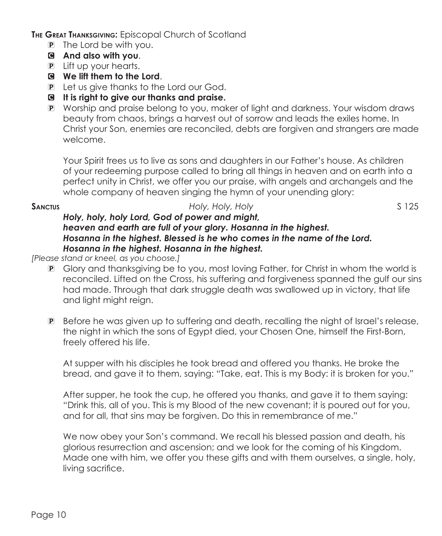**The Great Thanksgiving:** Episcopal Church of Scotland

- P The Lord be with you.
- C **And also with you**.
- P Lift up your hearts.
- C **We lift them to the Lord**.
- P Let us give thanks to the Lord our God.
- C **It is right to give our thanks and praise.**
- P Worship and praise belong to you, maker of light and darkness. Your wisdom draws beauty from chaos, brings a harvest out of sorrow and leads the exiles home. In Christ your Son, enemies are reconciled, debts are forgiven and strangers are made welcome.

 Your Spirit frees us to live as sons and daughters in our Father's house. As children of your redeeming purpose called to bring all things in heaven and on earth into a perfect unity in Christ, we offer you our praise, with angels and archangels and the whole company of heaven singing the hymn of your unending glory:

# **SANCTUS SANCTUS** *S* **125**

## *Holy, holy, holy Lord, God of power and might, heaven and earth are full of your glory. Hosanna in the highest. Hosanna in the highest. Blessed is he who comes in the name of the Lord. Hosanna in the highest. Hosanna in the highest.*

*[Please stand or kneel, as you choose.]*

- P Glory and thanksgiving be to you, most loving Father, for Christ in whom the world is reconciled. Lifted on the Cross, his suffering and forgiveness spanned the gulf our sins had made. Through that dark struggle death was swallowed up in victory, that life and light might reign.
- P Before he was given up to suffering and death, recalling the night of Israel's release, the night in which the sons of Egypt died, your Chosen One, himself the First-Born, freely offered his life.

 At supper with his disciples he took bread and offered you thanks. He broke the bread, and gave it to them, saying: "Take, eat. This is my Body: it is broken for you."

 After supper, he took the cup, he offered you thanks, and gave it to them saying: "Drink this, all of you. This is my Blood of the new covenant; it is poured out for you, and for all, that sins may be forgiven. Do this in remembrance of me."

 We now obey your Son's command. We recall his blessed passion and death, his glorious resurrection and ascension; and we look for the coming of his Kingdom. Made one with him, we offer you these gifts and with them ourselves, a single, holy, living sacrifice.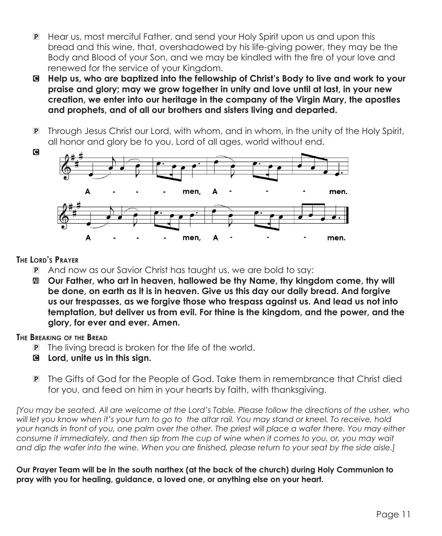- P Hear us, most merciful Father, and send your Holy Spirit upon us and upon this bread and this wine, that, overshadowed by his life-giving power, they may be the Body and Blood of your Son, and we may be kindled with the fire of your love and renewed for the service of your Kingdom.
- C **Help us, who are baptized into the fellowship of Christ's Body to live and work to your praise and glory; may we grow together in unity and love until at last, in your new creation, we enter into our heritage in the company of the Virgin Mary, the apostles and prophets, and of all our brothers and sisters living and departed.**
- P Through Jesus Christ our Lord, with whom, and in whom, in the unity of the Holy Spirit, all honor and glory be to you, Lord of all ages, world without end.



### **The Lord's Prayer**

- P And now as our Savior Christ has taught us, we are bold to say:
- a **Our Father, who art in heaven, hallowed be thy Name, thy kingdom come, thy will be done, on earth as it is in heaven. Give us this day our daily bread. And forgive us our trespasses, as we forgive those who trespass against us. And lead us not into temptation, but deliver us from evil. For thine is the kingdom, and the power, and the glory, for ever and ever. Amen.**

### **The Breaking of the Bread**

- P The living bread is broken for the life of the world.
- C **Lord, unite us in this sign.**
- P The Gifts of God for the People of God. Take them in remembrance that Christ died for you, and feed on him in your hearts by faith, with thanksgiving.

*[You may be seated. All are welcome at the Lord's Table. Please follow the directions of the usher, who will let you know when it's your turn to go to the altar rail. You may stand or kneel. To receive, hold your hands in front of you, one palm over the other. The priest will place a wafer there. You may either consume it immediately, and then sip from the cup of wine when it comes to you, or, you may wait and dip the wafer into the wine. When you are finished, please return to your seat by the side aisle.]*

**Our Prayer Team will be in the south narthex (at the back of the church) during Holy Communion to pray with you for healing, guidance, a loved one, or anything else on your heart.**